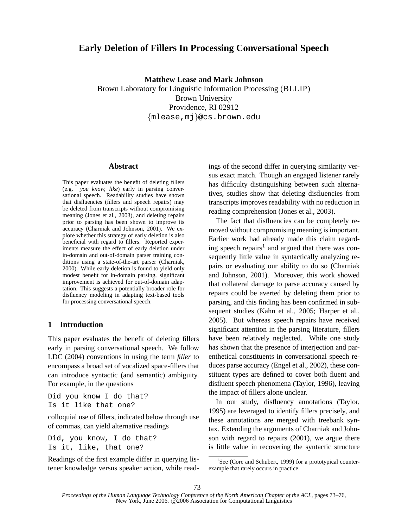# **Early Deletion of Fillers In Processing Conversational Speech**

**Matthew Lease and Mark Johnson**

Brown Laboratory for Linguistic Information Processing (BLLIP) Brown University Providence, RI 02912 {mlease,mj}@cs.brown.edu

#### **Abstract**

This paper evaluates the benefit of deleting fillers (e.g. *you know, like*) early in parsing conversational speech. Readability studies have shown that disfluencies (fillers and speech repairs) may be deleted from transcripts without compromising meaning (Jones et al., 2003), and deleting repairs prior to parsing has been shown to improve its accuracy (Charniak and Johnson, 2001). We explore whether this strategy of early deletion is also beneficial with regard to fillers. Reported experiments measure the effect of early deletion under in-domain and out-of-domain parser training conditions using a state-of-the-art parser (Charniak, 2000). While early deletion is found to yield only modest benefit for in-domain parsing, significant improvement is achieved for out-of-domain adaptation. This suggests a potentially broader role for disfluency modeling in adapting text-based tools for processing conversational speech.

## **1 Introduction**

This paper evaluates the benefit of deleting fillers early in parsing conversational speech. We follow LDC (2004) conventions in using the term *filler* to encompass a broad set of vocalized space-fillers that can introduce syntactic (and semantic) ambiguity. For example, in the questions

Did you know I do that? Is it like that one?

colloquial use of fillers, indicated below through use of commas, can yield alternative readings

Did, you know, I do that? Is it, like, that one?

Readings of the first example differ in querying listener knowledge versus speaker action, while readings of the second differ in querying similarity versus exact match. Though an engaged listener rarely has difficulty distinguishing between such alternatives, studies show that deleting disfluencies from transcripts improves readability with no reduction in reading comprehension (Jones et al., 2003).

The fact that disfluencies can be completely removed without compromising meaning is important. Earlier work had already made this claim regarding speech repairs<sup>1</sup> and argued that there was consequently little value in syntactically analyzing repairs or evaluating our ability to do so (Charniak and Johnson, 2001). Moreover, this work showed that collateral damage to parse accuracy caused by repairs could be averted by deleting them prior to parsing, and this finding has been confirmed in subsequent studies (Kahn et al., 2005; Harper et al., 2005). But whereas speech repairs have received significant attention in the parsing literature, fillers have been relatively neglected. While one study has shown that the presence of interjection and parenthetical constituents in conversational speech reduces parse accuracy (Engel et al., 2002), these constituent types are defined to cover both fluent and disfluent speech phenomena (Taylor, 1996), leaving the impact of fillers alone unclear.

In our study, disfluency annotations (Taylor, 1995) are leveraged to identify fillers precisely, and these annotations are merged with treebank syntax. Extending the arguments of Charniak and Johnson with regard to repairs (2001), we argue there is little value in recovering the syntactic structure

<sup>&</sup>lt;sup>1</sup>See (Core and Schubert, 1999) for a prototypical counterexample that rarely occurs in practice.

*Proceedings of the Human Language Technology Conference of the North American Chapter of the ACL*, pages 73–76, New York, June 2006.  $\tilde{C}$ 2006 Association for Computational Linguistics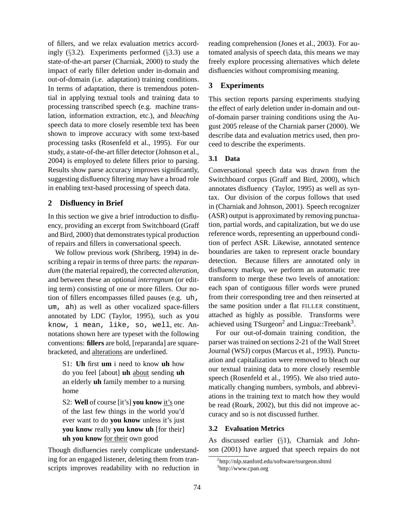of fillers, and we relax evaluation metrics accordingly (§3.2). Experiments performed (§3.3) use a state-of-the-art parser (Charniak, 2000) to study the impact of early filler deletion under in-domain and out-of-domain (i.e. adaptation) training conditions. In terms of adaptation, there is tremendous potential in applying textual tools and training data to processing transcribed speech (e.g. machine translation, information extraction, etc.), and *bleaching* speech data to more closely resemble text has been shown to improve accuracy with some text-based processing tasks (Rosenfeld et al., 1995). For our study, a state-of-the-art filler detector (Johnson et al., 2004) is employed to delete fillers prior to parsing. Results show parse accuracy improves significantly, suggesting disfluency filtering may have a broad role in enabling text-based processing of speech data.

### **2 Disfluency in Brief**

In this section we give a brief introduction to disfluency, providing an excerpt from Switchboard (Graff and Bird, 2000) that demonstrates typical production of repairs and fillers in conversational speech.

We follow previous work (Shriberg, 1994) in describing a repair in terms of three parts: the *reparandum* (the material repaired), the corrected *alteration*, and between these an optional *interregnum* (or editing term) consisting of one or more fillers. Our notion of fillers encompasses filled pauses (e.g. uh, um, ah) as well as other vocalized space-fillers annotated by LDC (Taylor, 1995), such as you know, i mean, like, so, well, etc. Annotations shown here are typeset with the following conventions: **fillers** are bold, [reparanda] are squarebracketed, and alterations are underlined.

S1: **Uh** first **um** i need to know **uh** how do you feel [about] **uh** about sending **uh** an elderly **uh** family member to a nursing home

S2: **Well** of course [it's] **you know** it's one of the last few things in the world you'd ever want to do **you know** unless it's just **you know** really **you know uh** [for their] **uh you know** for their own good

Though disfluencies rarely complicate understanding for an engaged listener, deleting them from transcripts improves readability with no reduction in reading comprehension (Jones et al., 2003). For automated analysis of speech data, this means we may freely explore processing alternatives which delete disfluencies without compromising meaning.

### **3 Experiments**

This section reports parsing experiments studying the effect of early deletion under in-domain and outof-domain parser training conditions using the August 2005 release of the Charniak parser (2000). We describe data and evaluation metrics used, then proceed to describe the experiments.

### **3.1 Data**

Conversational speech data was drawn from the Switchboard corpus (Graff and Bird, 2000), which annotates disfluency (Taylor, 1995) as well as syntax. Our division of the corpus follows that used in (Charniak and Johnson, 2001). Speech recognizer (ASR) output is approximated by removing punctuation, partial words, and capitalization, but we do use reference words, representing an upperbound condition of perfect ASR. Likewise, annotated sentence boundaries are taken to represent oracle boundary detection. Because fillers are annotated only in disfluency markup, we perform an automatic tree transform to merge these two levels of annotation: each span of contiguous filler words were pruned from their corresponding tree and then reinserted at the same position under a flat FILLER constituent, attached as highly as possible. Transforms were achieved using TSurgeon<sup>2</sup> and Lingua::Treebank<sup>3</sup>.

For our out-of-domain training condition, the parser was trained on sections 2-21 of the Wall Street Journal (WSJ) corpus (Marcus et al., 1993). Punctuation and capitalization were removed to bleach our our textual training data to more closely resemble speech (Rosenfeld et al., 1995). We also tried automatically changing numbers, symbols, and abbreviations in the training text to match how they would be read (Roark, 2002), but this did not improve accuracy and so is not discussed further.

### **3.2 Evaluation Metrics**

As discussed earlier (§1), Charniak and Johnson (2001) have argued that speech repairs do not

<sup>2</sup> http://nlp.stanford.edu/software/tsurgeon.shtml 3 http://www.cpan.org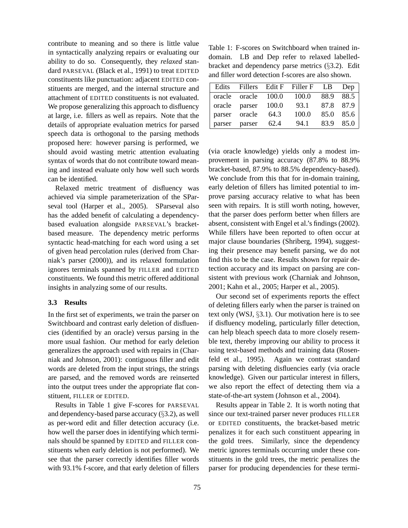contribute to meaning and so there is little value in syntactically analyzing repairs or evaluating our ability to do so. Consequently, they *relaxed* standard PARSEVAL (Black et al., 1991) to treat EDITED constituents like punctuation: adjacent EDITED constituents are merged, and the internal structure and attachment of EDITED constituents is not evaluated. We propose generalizing this approach to disfluency at large, i.e. fillers as well as repairs. Note that the details of appropriate evaluation metrics for parsed speech data is orthogonal to the parsing methods proposed here: however parsing is performed, we should avoid wasting metric attention evaluating syntax of words that do not contribute toward meaning and instead evaluate only how well such words can be identified.

Relaxed metric treatment of disfluency was achieved via simple parameterization of the SParseval tool (Harper et al., 2005). SParseval also has the added benefit of calculating a dependencybased evaluation alongside PARSEVAL's bracketbased measure. The dependency metric performs syntactic head-matching for each word using a set of given head percolation rules (derived from Charniak's parser (2000)), and its relaxed formulation ignores terminals spanned by FILLER and EDITED constituents. We found this metric offered additional insights in analyzing some of our results.

#### **3.3 Results**

In the first set of experiments, we train the parser on Switchboard and contrast early deletion of disfluencies (identified by an oracle) versus parsing in the more usual fashion. Our method for early deletion generalizes the approach used with repairs in (Charniak and Johnson, 2001): contiguous filler and edit words are deleted from the input strings, the strings are parsed, and the removed words are reinserted into the output trees under the appropriate flat constituent, FILLER or EDITED.

Results in Table 1 give F-scores for PARSEVAL and dependency-based parse accuracy (§3.2), as well as per-word edit and filler detection accuracy (i.e. how well the parser does in identifying which terminals should be spanned by EDITED and FILLER constituents when early deletion is not performed). We see that the parser correctly identifies filler words with 93.1% f-score, and that early deletion of fillers

Table 1: F-scores on Switchboard when trained indomain. LB and Dep refer to relaxed labelledbracket and dependency parse metrics (§3.2). Edit and filler word detection f-scores are also shown.

| Edits  |                     |      | Fillers Edit F Filler F LB | Dep       |
|--------|---------------------|------|----------------------------|-----------|
|        | oracle oracle 100.0 |      | 100.0                      | 88.9 88.5 |
|        | oracle parser 100.0 |      | 93.1                       | 87.8 87.9 |
|        | parser oracle       | 64.3 | 100.0                      | 85.0 85.6 |
| parser | parser              | 62.4 | 94.1                       | 83.9 85.0 |

(via oracle knowledge) yields only a modest improvement in parsing accuracy (87.8% to 88.9% bracket-based, 87.9% to 88.5% dependency-based). We conclude from this that for in-domain training, early deletion of fillers has limited potential to improve parsing accuracy relative to what has been seen with repairs. It is still worth noting, however, that the parser does perform better when fillers are absent, consistent with Engel et al.'s findings (2002). While fillers have been reported to often occur at major clause boundaries (Shriberg, 1994), suggesting their presence may benefit parsing, we do not find this to be the case. Results shown for repair detection accuracy and its impact on parsing are consistent with previous work (Charniak and Johnson, 2001; Kahn et al., 2005; Harper et al., 2005).

Our second set of experiments reports the effect of deleting fillers early when the parser is trained on text only (WSJ, §3.1). Our motivation here is to see if disfluency modeling, particularly filler detection, can help bleach speech data to more closely resemble text, thereby improving our ability to process it using text-based methods and training data (Rosenfeld et al., 1995). Again we contrast standard parsing with deleting disfluencies early (via oracle knowledge). Given our particular interest in fillers, we also report the effect of detecting them via a state-of-the-art system (Johnson et al., 2004).

Results appear in Table 2. It is worth noting that since our text-trained parser never produces FILLER or EDITED constituents, the bracket-based metric penalizes it for each such constituent appearing in the gold trees. Similarly, since the dependency metric ignores terminals occurring under these constituents in the gold trees, the metric penalizes the parser for producing dependencies for these termi-